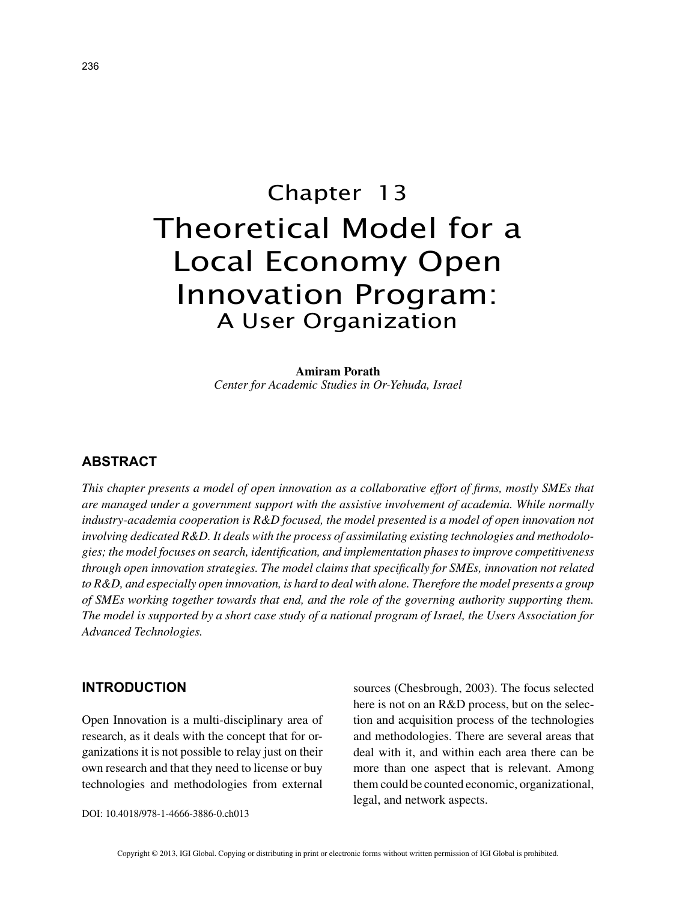# Chapter 13 Theoretical Model for a Local Economy Open Innovation Program: A User Organization

**Amiram Porath** *Center for Academic Studies in Or-Yehuda, Israel*

# **ABSTRACT**

*This chapter presents a model of open innovation as a collaborative effort of firms, mostly SMEs that are managed under a government support with the assistive involvement of academia. While normally industry-academia cooperation is R&D focused, the model presented is a model of open innovation not involving dedicated R&D. It deals with the process of assimilating existing technologies and methodologies; the model focuses on search, identification, and implementation phases to improve competitiveness through open innovation strategies. The model claims that specifically for SMEs, innovation not related to R&D, and especially open innovation, is hard to deal with alone. Therefore the model presents a group of SMEs working together towards that end, and the role of the governing authority supporting them. The model is supported by a short case study of a national program of Israel, the Users Association for Advanced Technologies.*

## **INTRODUCTION**

Open Innovation is a multi-disciplinary area of research, as it deals with the concept that for organizations it is not possible to relay just on their own research and that they need to license or buy technologies and methodologies from external sources (Chesbrough, 2003). The focus selected here is not on an R&D process, but on the selection and acquisition process of the technologies and methodologies. There are several areas that deal with it, and within each area there can be more than one aspect that is relevant. Among them could be counted economic, organizational, legal, and network aspects.

DOI: 10.4018/978-1-4666-3886-0.ch013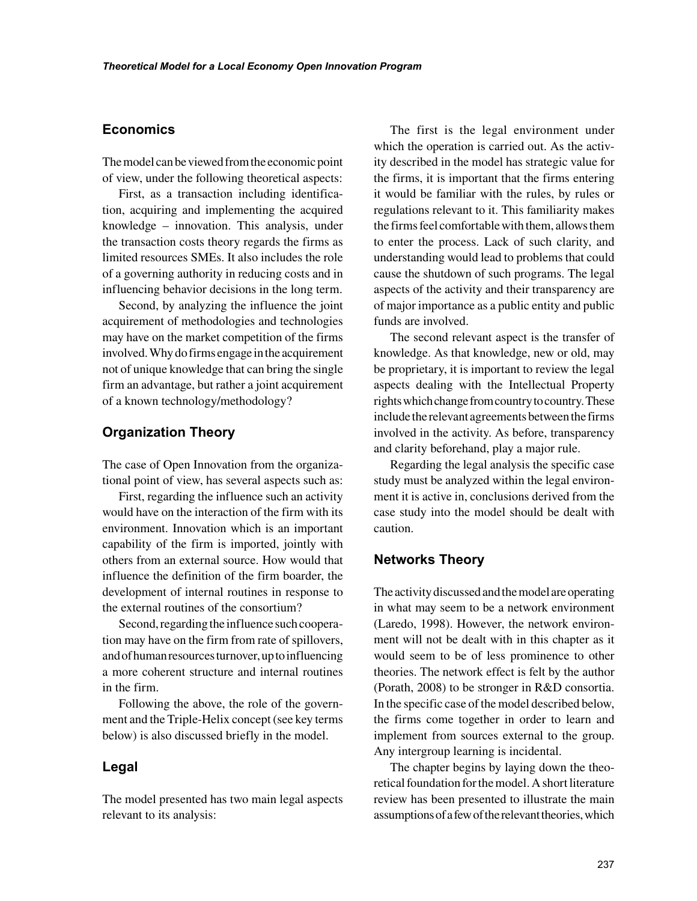# **Economics**

The model can be viewed from the economic point of view, under the following theoretical aspects:

First, as a transaction including identification, acquiring and implementing the acquired knowledge – innovation. This analysis, under the transaction costs theory regards the firms as limited resources SMEs. It also includes the role of a governing authority in reducing costs and in influencing behavior decisions in the long term.

Second, by analyzing the influence the joint acquirement of methodologies and technologies may have on the market competition of the firms involved. Why do firms engage in the acquirement not of unique knowledge that can bring the single firm an advantage, but rather a joint acquirement of a known technology/methodology?

## **Organization Theory**

The case of Open Innovation from the organizational point of view, has several aspects such as:

First, regarding the influence such an activity would have on the interaction of the firm with its environment. Innovation which is an important capability of the firm is imported, jointly with others from an external source. How would that influence the definition of the firm boarder, the development of internal routines in response to the external routines of the consortium?

Second, regarding the influence such cooperation may have on the firm from rate of spillovers, and of human resources turnover, up to influencing a more coherent structure and internal routines in the firm.

Following the above, the role of the government and the Triple-Helix concept (see key terms below) is also discussed briefly in the model.

## **Legal**

The model presented has two main legal aspects relevant to its analysis:

The first is the legal environment under which the operation is carried out. As the activity described in the model has strategic value for the firms, it is important that the firms entering it would be familiar with the rules, by rules or regulations relevant to it. This familiarity makes the firms feel comfortable with them, allows them to enter the process. Lack of such clarity, and understanding would lead to problems that could cause the shutdown of such programs. The legal aspects of the activity and their transparency are of major importance as a public entity and public funds are involved.

The second relevant aspect is the transfer of knowledge. As that knowledge, new or old, may be proprietary, it is important to review the legal aspects dealing with the Intellectual Property rights which change from country to country. These include the relevant agreements between the firms involved in the activity. As before, transparency and clarity beforehand, play a major rule.

Regarding the legal analysis the specific case study must be analyzed within the legal environment it is active in, conclusions derived from the case study into the model should be dealt with caution.

# **Networks Theory**

The activity discussed and the model are operating in what may seem to be a network environment (Laredo, 1998). However, the network environment will not be dealt with in this chapter as it would seem to be of less prominence to other theories. The network effect is felt by the author (Porath, 2008) to be stronger in R&D consortia. In the specific case of the model described below, the firms come together in order to learn and implement from sources external to the group. Any intergroup learning is incidental.

The chapter begins by laying down the theoretical foundation for the model. A short literature review has been presented to illustrate the main assumptions of a few of the relevant theories, which